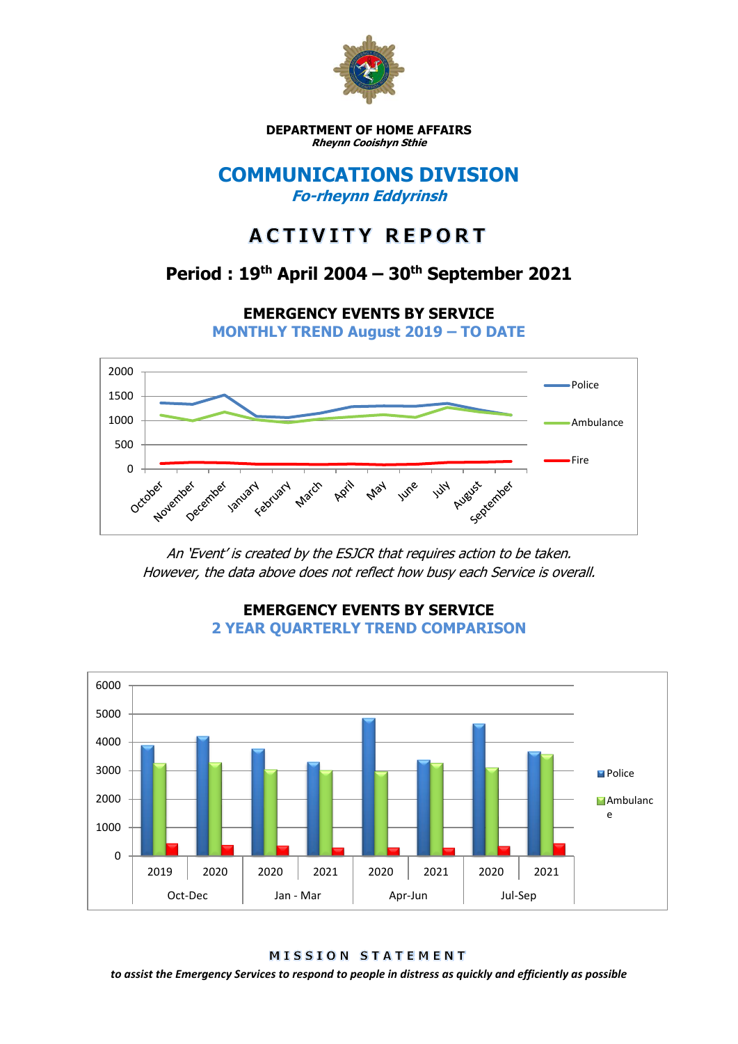

**DEPARTMENT OF HOME AFFAIRS Rheynn Cooishyn Sthie**

### **COMMUNICATIONS DIVISION Fo-rheynn Eddyrinsh**

# **ACTIVITY REPORT**

## **Period : 19th April 2004 – 30th September 2021**

**EMERGENCY EVENTS BY SERVICE**

**MONTHLY TREND August 2019 – TO DATE**



An 'Event' is created by the ESJCR that requires action to be taken. However, the data above does not reflect how busy each Service is overall.



**EMERGENCY EVENTS BY SERVICE 2 YEAR QUARTERLY TREND COMPARISON**

MISSION STATEMENT

*to assist the Emergency Services to respond to people in distress as quickly and efficiently as possible*